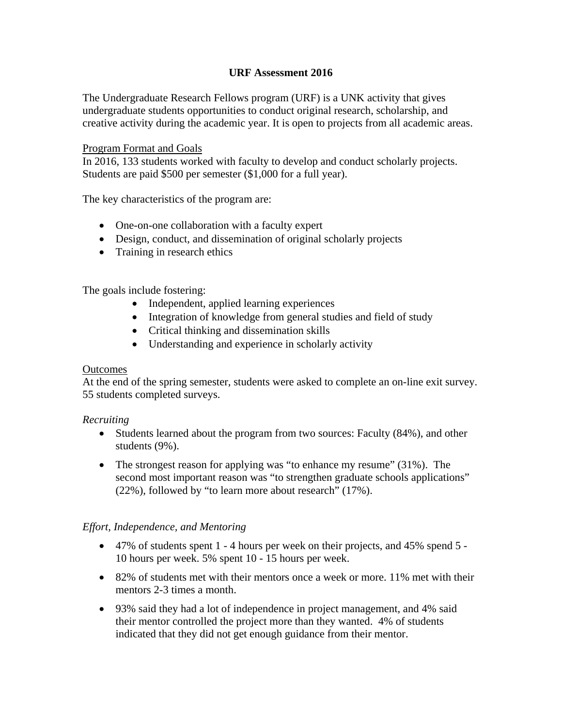## **URF Assessment 2016**

The Undergraduate Research Fellows program (URF) is a UNK activity that gives undergraduate students opportunities to conduct original research, scholarship, and creative activity during the academic year. It is open to projects from all academic areas.

#### Program Format and Goals

In 2016, 133 students worked with faculty to develop and conduct scholarly projects. Students are paid \$500 per semester (\$1,000 for a full year).

The key characteristics of the program are:

- One-on-one collaboration with a faculty expert
- Design, conduct, and dissemination of original scholarly projects
- Training in research ethics

The goals include fostering:

- Independent, applied learning experiences
- Integration of knowledge from general studies and field of study
- Critical thinking and dissemination skills
- Understanding and experience in scholarly activity

#### **Outcomes**

At the end of the spring semester, students were asked to complete an on-line exit survey. 55 students completed surveys.

### *Recruiting*

- Students learned about the program from two sources: Faculty (84%), and other students (9%).
- The strongest reason for applying was "to enhance my resume" (31%). The second most important reason was "to strengthen graduate schools applications" (22%), followed by "to learn more about research" (17%).

### *Effort, Independence, and Mentoring*

- $\bullet$  47% of students spent 1 4 hours per week on their projects, and 45% spend 5 -10 hours per week. 5% spent 10 - 15 hours per week.
- 82% of students met with their mentors once a week or more. 11% met with their mentors 2-3 times a month.
- 93% said they had a lot of independence in project management, and 4% said their mentor controlled the project more than they wanted. 4% of students indicated that they did not get enough guidance from their mentor.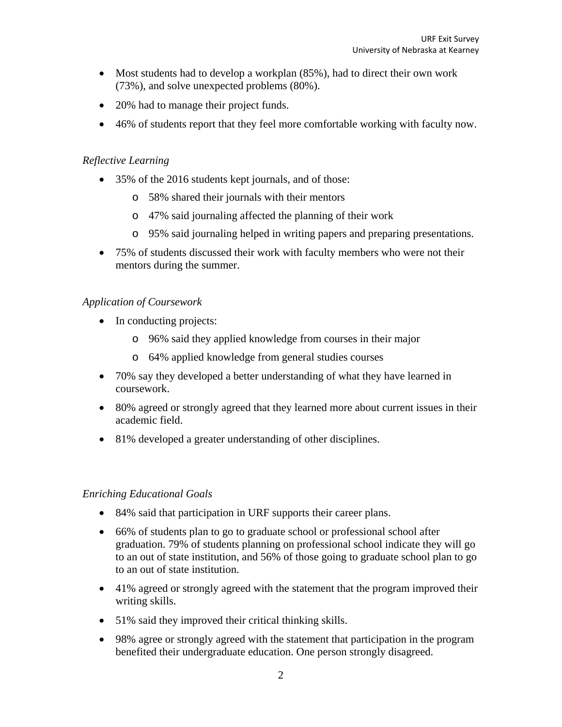- Most students had to develop a workplan (85%), had to direct their own work (73%), and solve unexpected problems (80%).
- 20% had to manage their project funds.
- 46% of students report that they feel more comfortable working with faculty now.

# *Reflective Learning*

- 35% of the 2016 students kept journals, and of those:
	- o 58% shared their journals with their mentors
	- o 47% said journaling affected the planning of their work
	- o 95% said journaling helped in writing papers and preparing presentations.
- 75% of students discussed their work with faculty members who were not their mentors during the summer.

# *Application of Coursework*

- In conducting projects:
	- o 96% said they applied knowledge from courses in their major
	- o 64% applied knowledge from general studies courses
- 70% say they developed a better understanding of what they have learned in coursework.
- 80% agreed or strongly agreed that they learned more about current issues in their academic field.
- 81% developed a greater understanding of other disciplines.

## *Enriching Educational Goals*

- 84% said that participation in URF supports their career plans.
- 66% of students plan to go to graduate school or professional school after graduation. 79% of students planning on professional school indicate they will go to an out of state institution, and 56% of those going to graduate school plan to go to an out of state institution.
- 41% agreed or strongly agreed with the statement that the program improved their writing skills.
- 51% said they improved their critical thinking skills.
- 98% agree or strongly agreed with the statement that participation in the program benefited their undergraduate education. One person strongly disagreed.